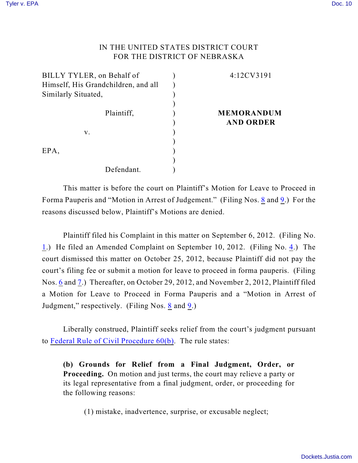## IN THE UNITED STATES DISTRICT COURT FOR THE DISTRICT OF NEBRASKA

| BILLY TYLER, on Behalf of           | 4:12CV3191        |
|-------------------------------------|-------------------|
| Himself, His Grandchildren, and all |                   |
| Similarly Situated,                 |                   |
|                                     |                   |
| Plaintiff,                          | <b>MEMORANDUM</b> |
|                                     | <b>AND ORDER</b>  |
| v.                                  |                   |
|                                     |                   |
| EPA,                                |                   |
|                                     |                   |
| Defendant.                          |                   |

This matter is before the court on Plaintiff's Motion for Leave to Proceed in Forma Pauperis and "Motion in Arrest of Judgement." (Filing Nos. [8](https://ecf.ned.uscourts.gov/doc1/11312639400) and [9](https://ecf.ned.uscourts.gov/doc1/11312643133).) For the reasons discussed below, Plaintiff's Motions are denied.

Plaintiff filed his Complaint in this matter on September 6, 2012. (Filing No. [1](http://ecf.ned.uscourts.gov/doc1/11302603239).) He filed an Amended Complaint on September 10, 2012. (Filing No. [4](http://ecf.ned.uscourts.gov/doc1/11302604670).) The court dismissed this matter on October 25, 2012, because Plaintiff did not pay the court's filing fee or submit a motion for leave to proceed in forma pauperis. (Filing Nos. [6](https://ecf.ned.uscourts.gov/doc1/11312637124) and [7](https://ecf.ned.uscourts.gov/doc1/11312637130).) Thereafter, on October 29, 2012, and November 2, 2012, Plaintiff filed a Motion for Leave to Proceed in Forma Pauperis and a "Motion in Arrest of Judgment," respectively. (Filing Nos. [8](https://ecf.ned.uscourts.gov/doc1/11312639400) and [9](https://ecf.ned.uscourts.gov/doc1/11312643133).)

Liberally construed, Plaintiff seeks relief from the court's judgment pursuant to [Federal Rule of Civil Procedure 60\(b\)](http://web2.westlaw.com/result/default.wl?rs=WLW12.10&ss=CNT&cnt=DOC&cite=frcp+60&cxt=DC&service=KeyCite&fn=_top&n=1&elmap=Inline&tnprpdd=None&vr=2.0&tnprpds=TaxNewsFIT&rlt=CLID_FQRLT66521221015911&mt=EighthCircuit&rlti=1&migkchresultid=1&tf=0&rp=%2fKeyC). The rule states:

**(b) Grounds for Relief from a Final Judgment, Order, or Proceeding.** On motion and just terms, the court may relieve a party or its legal representative from a final judgment, order, or proceeding for the following reasons:

(1) mistake, inadvertence, surprise, or excusable neglect;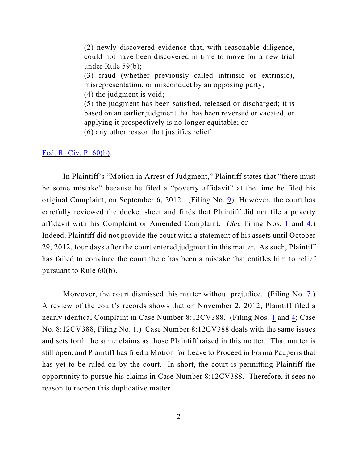(2) newly discovered evidence that, with reasonable diligence, could not have been discovered in time to move for a new trial under Rule 59(b);

(3) fraud (whether previously called intrinsic or extrinsic), misrepresentation, or misconduct by an opposing party;

(4) the judgment is void;

(5) the judgment has been satisfied, released or discharged; it is based on an earlier judgment that has been reversed or vacated; or applying it prospectively is no longer equitable; or

(6) any other reason that justifies relief.

[Fed. R. Civ. P. 60\(b\)](http://web2.westlaw.com/result/default.wl?rs=WLW12.10&ss=CNT&cnt=DOC&cite=frcp+60&cxt=DC&service=KeyCite&fn=_top&n=1&elmap=Inline&tnprpdd=None&vr=2.0&tnprpds=TaxNewsFIT&rlt=CLID_FQRLT66521221015911&mt=EighthCircuit&rlti=1&migkchresultid=1&tf=0&rp=%2fKeyC).

In Plaintiff's "Motion in Arrest of Judgment," Plaintiff states that "there must be some mistake" because he filed a "poverty affidavit" at the time he filed his original Complaint, on September 6, 2012. (Filing No. [9](https://ecf.ned.uscourts.gov/doc1/11312643133)) However, the court has carefully reviewed the docket sheet and finds that Plaintiff did not file a poverty affidavit with his Complaint or Amended Complaint. (*See* Filing Nos. [1](https://ecf.ned.uscourts.gov/doc1/11312603239) and [4](https://ecf.ned.uscourts.gov/doc1/11312604670).) Indeed, Plaintiff did not provide the court with a statement of his assets until October 29, 2012, four days after the court entered judgment in this matter. As such, Plaintiff has failed to convince the court there has been a mistake that entitles him to relief pursuant to Rule 60(b).

Moreover, the court dismissed this matter without prejudice. (Filing No. [7](https://ecf.ned.uscourts.gov/doc1/11312637130).) A review of the court's records shows that on November 2, 2012, Plaintiff filed a nearly identical Complaint in Case Number 8:12CV388. (Filing Nos. [1](https://ecf.ned.uscourts.gov/doc1/11312603239) and [4](https://ecf.ned.uscourts.gov/doc1/11312604670); Case No. 8:12CV388, Filing No. 1.) Case Number 8:12CV388 deals with the same issues and sets forth the same claims as those Plaintiff raised in this matter. That matter is still open, and Plaintiff has filed a Motion for Leave to Proceed in Forma Pauperis that has yet to be ruled on by the court. In short, the court is permitting Plaintiff the opportunity to pursue his claims in Case Number 8:12CV388. Therefore, it sees no reason to reopen this duplicative matter.